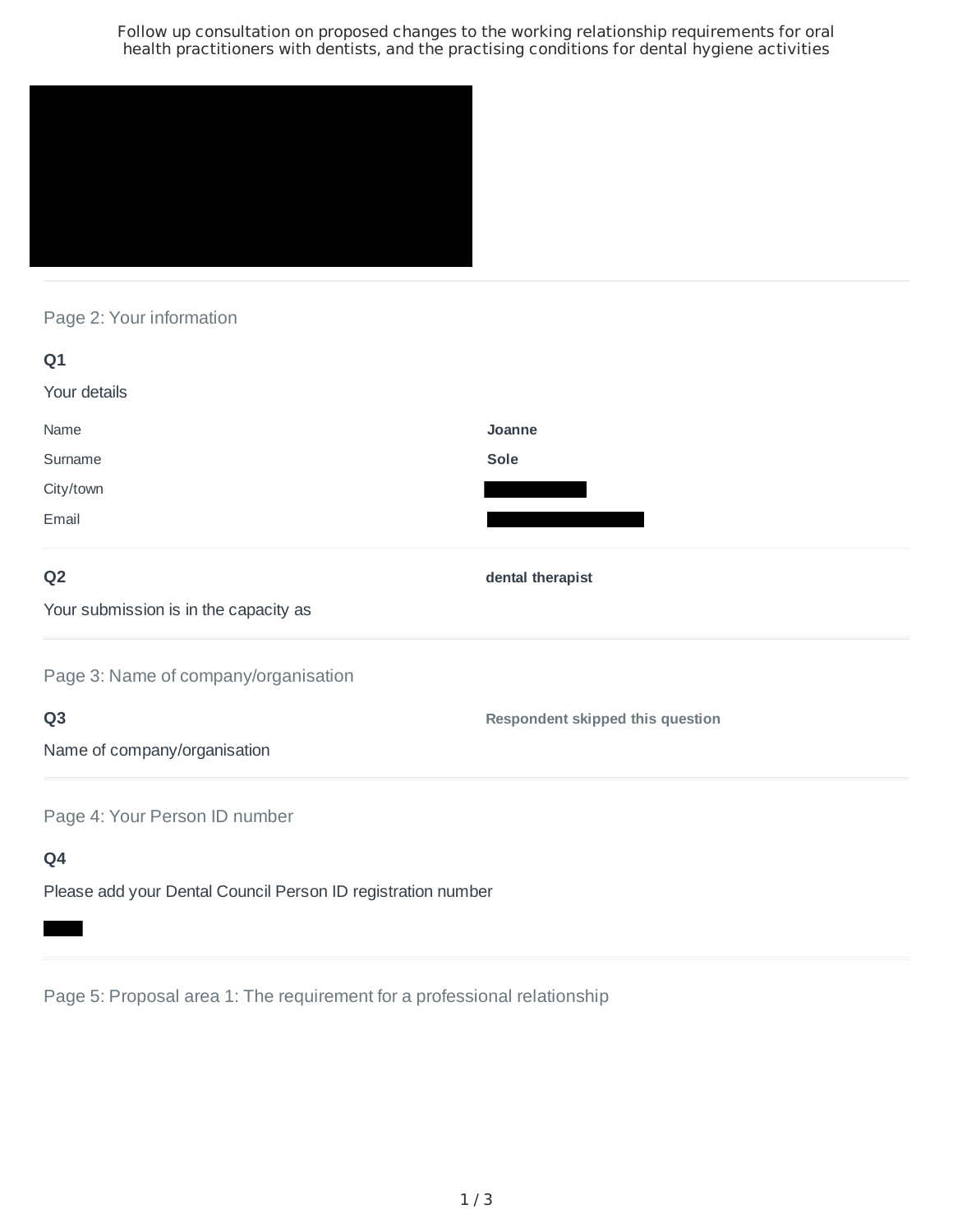Follow up consultation on proposed changes to the working relationship requirements for oral health practitioners with dentists, and the practising conditions for dental hygiene activities



Page 2: Your information

| Q1                                    |                                         |
|---------------------------------------|-----------------------------------------|
| Your details                          |                                         |
| Name                                  | Joanne                                  |
| Surname                               | Sole                                    |
| City/town                             |                                         |
| Email                                 |                                         |
| Q <sub>2</sub>                        | dental therapist                        |
| Your submission is in the capacity as |                                         |
| Page 3: Name of company/organisation  |                                         |
| Q <sub>3</sub>                        | <b>Respondent skipped this question</b> |
| Name of company/organisation          |                                         |
| Page 4: Your Person ID number         |                                         |
| Q4                                    |                                         |

Please add your Dental Council Person ID registration number

Page 5: Proposal area 1: The requirement for a professional relationship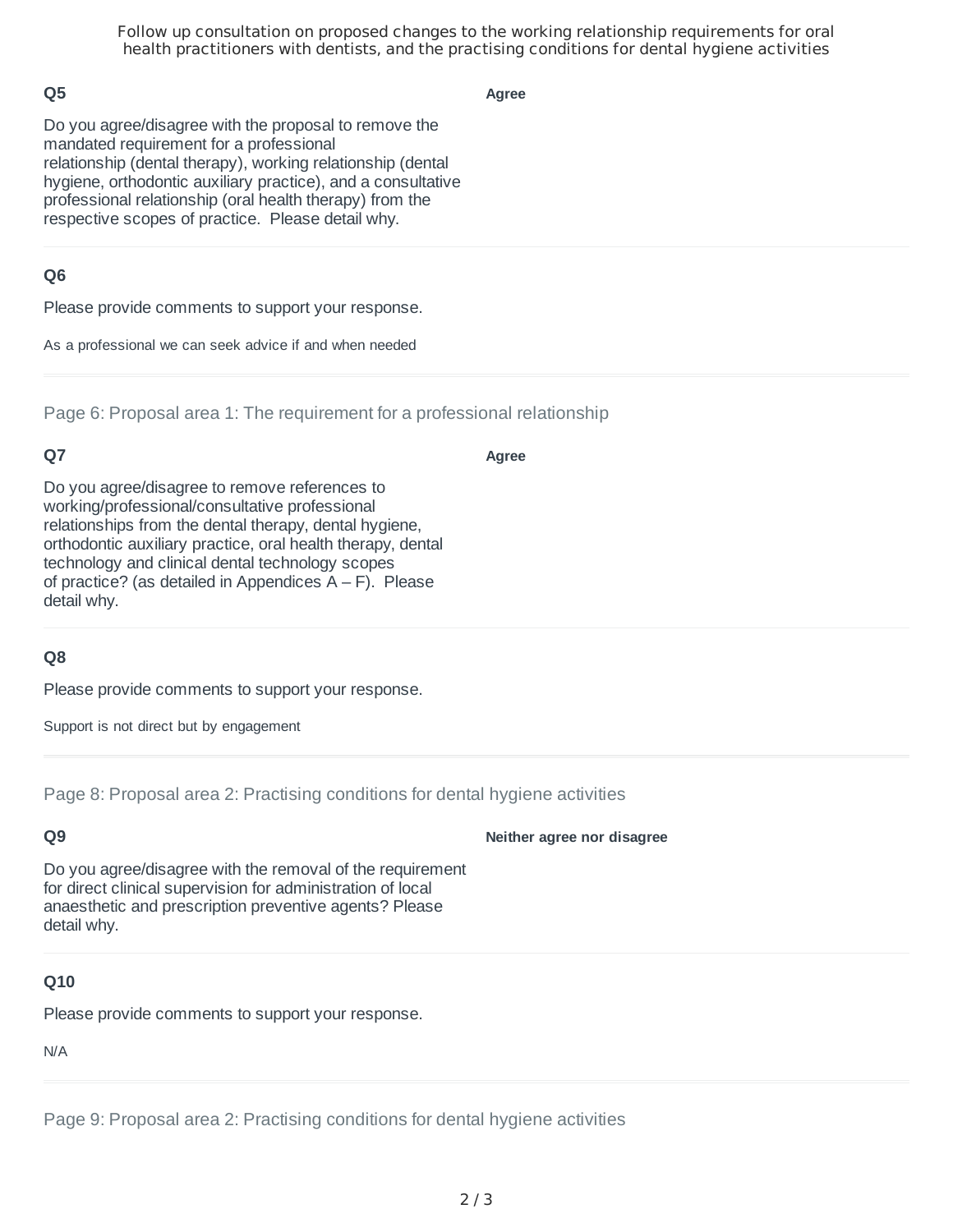Follow up consultation on proposed changes to the working relationship requirements for oral health practitioners with dentists, and the practising conditions for dental hygiene activities

### **Q5**

**Agree**

Do you agree/disagree with the proposal to remove the mandated requirement for a professional relationship (dental therapy), working relationship (dental hygiene, orthodontic auxiliary practice), and a consultative professional relationship (oral health therapy) from the respective scopes of practice. Please detail why.

### **Q6**

Please provide comments to support your response.

As a professional we can seek advice if and when needed

Page 6: Proposal area 1: The requirement for a professional relationship

### **Q7**

**Agree**

Do you agree/disagree to remove references to working/professional/consultative professional relationships from the dental therapy, dental hygiene, orthodontic auxiliary practice, oral health therapy, dental technology and clinical dental technology scopes of practice? (as detailed in Appendices  $A - F$ ). Please detail why.

# **Q8**

Please provide comments to support your response.

Support is not direct but by engagement

Page 8: Proposal area 2: Practising conditions for dental hygiene activities

# **Q9**

**Neither agree nor disagree**

Do you agree/disagree with the removal of the requirement for direct clinical supervision for administration of local anaesthetic and prescription preventive agents? Please detail why.

#### **Q10**

Please provide comments to support your response.

N/A

Page 9: Proposal area 2: Practising conditions for dental hygiene activities